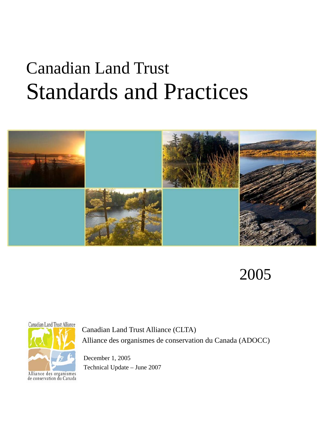# Canadian Land Trust Standards and Practices



2005



Canadian Land Trust Alliance (CLTA) Alliance des organismes de conservation du Canada (ADOCC)

 December 1, 2005 Technical Update – June 2007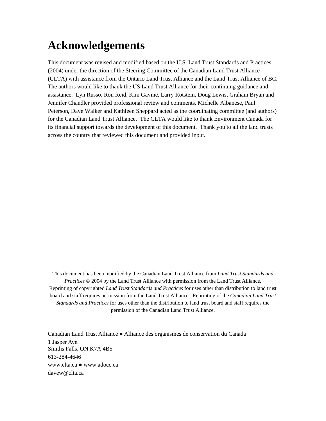# **Acknowledgements**

This document was revised and modified based on the U.S. Land Trust Standards and Practices (2004) under the direction of the Steering Committee of the Canadian Land Trust Alliance (CLTA) with assistance from the Ontario Land Trust Alliance and the Land Trust Alliance of BC. The authors would like to thank the US Land Trust Alliance for their continuing guidance and assistance. Lyn Russo, Ron Reid, Kim Gavine, Larry Rotstein, Doug Lewis, Graham Bryan and Jennifer Chandler provided professional review and comments. Michelle Albanese, Paul Peterson, Dave Walker and Kathleen Sheppard acted as the coordinating committee (and authors) for the Canadian Land Trust Alliance. The CLTA would like to thank Environment Canada for its financial support towards the development of this document. Thank you to all the land trusts across the country that reviewed this document and provided input.

This document has been modified by the Canadian Land Trust Alliance from *Land Trust Standards and Practices* © 2004 by the Land Trust Alliance with permission from the Land Trust Alliance. Reprinting of copyrighted *Land Trust Standards and Practices* for uses other than distribution to land trust board and staff requires permission from the Land Trust Alliance. Reprinting of the *Canadian Land Trust Standards and Practices* for uses other than the distribution to land trust board and staff requires the permission of the Canadian Land Trust Alliance.

Canadian Land Trust Alliance ● Alliance des organismes de conservation du Canada 1 Jasper Ave. Smiths Falls, ON K7A 4B5 613-284-4646 www.clta.ca ● www.adocc.ca davew@clta.ca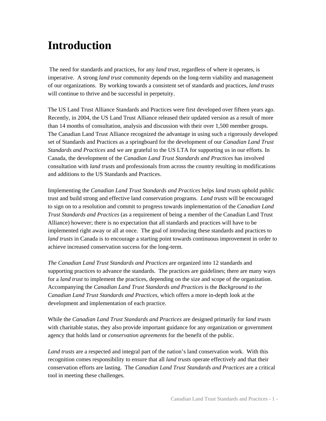# **Introduction**

The need for standards and practices, for any *land trust*, regardless of where it operates, is imperative. A strong *land trust* community depends on the long-term viability and management of our organizations. By working towards a consistent set of standards and practices, *land trusts* will continue to thrive and be successful in perpetuity.

The US Land Trust Alliance Standards and Practices were first developed over fifteen years ago. Recently, in 2004, the US Land Trust Alliance released their updated version as a result of more than 14 months of consultation, analysis and discussion with their over 1,500 member groups. The Canadian Land Trust Alliance recognized the advantage in using such a rigorously developed set of Standards and Practices as a springboard for the development of our *Canadian Land Trust Standards and Practices* and we are grateful to the US LTA for supporting us in our efforts. In Canada, the development of the *Canadian Land Trust Standards and Practices* has involved consultation with *land trust*s and professionals from across the country resulting in modifications and additions to the US Standards and Practices.

Implementing the *Canadian Land Trust Standards and Practices* helps *land trusts* uphold public trust and build strong and effective land conservation programs. *Land trusts* will be encouraged to sign on to a resolution and commit to progress towards implementation of the *Canadian Land Trust Standards and Practices* (as a requirement of being a member of the Canadian Land Trust Alliance) however; there is no expectation that all standards and practices will have to be implemented right away or all at once. The goal of introducing these standards and practices to *land trusts* in Canada is to encourage a starting point towards continuous improvement in order to achieve increased conservation success for the long-term.

*The Canadian Land Trust Standards and Practices* are organized into 12 standards and supporting practices to advance the standards. The practices are guidelines; there are many ways for a *land trust* to implement the practices, depending on the size and scope of the organization. Accompanying the *Canadian Land Trust Standards and Practices* is the *Background to the Canadian Land Trust Standards and Practices*, which offers a more in-depth look at the development and implementation of each practice.

While the *Canadian Land Trust Standards and Practices* are designed primarily for *land trusts* with charitable status, they also provide important guidance for any organization or government agency that holds land or *conservation agreements* for the benefit of the public.

*Land trusts* are a respected and integral part of the nation's land conservation work. With this recognition comes responsibility to ensure that all *land trusts* operate effectively and that their conservation efforts are lasting. The *Canadian Land Trust Standards and Practices* are a critical tool in meeting these challenges.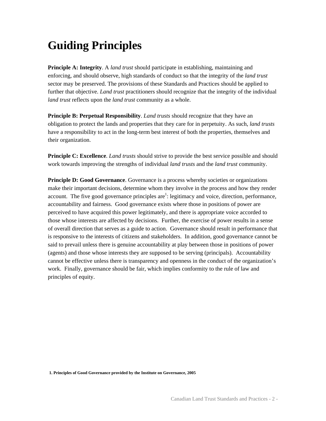# **Guiding Principles**

**Principle A: Integrity**. A *land trust* should participate in establishing, maintaining and enforcing, and should observe, high standards of conduct so that the integrity of the *land trust* sector may be preserved. The provisions of these Standards and Practices should be applied to further that objective. *Land trust* practitioners should recognize that the integrity of the individual *land trust* reflects upon the *land trust* community as a whole.

**Principle B: Perpetual Responsibility**. *Land trusts* should recognize that they have an obligation to protect the lands and properties that they care for in perpetuity. As such, *land trusts*  have a responsibility to act in the long-term best interest of both the properties, themselves and their organization.

**Principle C: Excellence**. *Land trusts* should strive to provide the best service possible and should work towards improving the strengths of individual *land trusts* and the *land trust* community.

**Principle D: Good Governance**. Governance is a process whereby societies or organizations make their important decisions, determine whom they involve in the process and how they render account. The five good governance principles  $are<sup>1</sup>$ : legitimacy and voice, direction, performance, accountability and fairness. Good governance exists where those in positions of power are perceived to have acquired this power legitimately, and there is appropriate voice accorded to those whose interests are affected by decisions. Further, the exercise of power results in a sense of overall direction that serves as a guide to action. Governance should result in performance that is responsive to the interests of citizens and stakeholders. In addition, good governance cannot be said to prevail unless there is genuine accountability at play between those in positions of power (agents) and those whose interests they are supposed to be serving (principals). Accountability cannot be effective unless there is transparency and openness in the conduct of the organization's work. Finally, governance should be fair, which implies conformity to the rule of law and principles of equity.

**1. Principles of Good Governance provided by the Institute on Governance, 2005**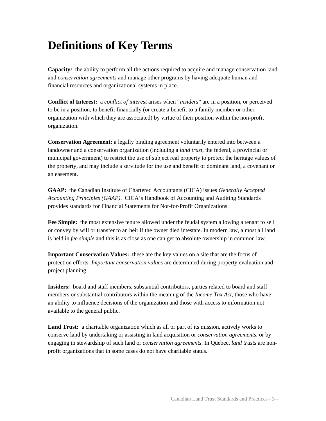# **Definitions of Key Terms**

 **Capacity***:* the ability to perform all the actions required to acquire and manage conservation land and *conservation agreements* and manage other programs by having adequate human and financial resources and organizational systems in place.

**Conflict of Interest:** a *conflict of interest* arises when "*insiders*" are in a position, or perceived to be in a position, to benefit financially (or create a benefit to a family member or other organization with which they are associated) by virtue of their position within the non-profit organization.

**Conservation Agreement:** a legally binding agreement voluntarily entered into between a landowner and a conservation organization (including a *land trust*, the federal, a provincial or municipal government) to restrict the use of subject real property to protect the heritage values of the property, and may include a servitude for the use and benefit of dominant land, a covenant or an easement.

**GAAP:** the Canadian Institute of Chartered Accountants (CICA) issues *Generally Accepted Accounting Principles (GAAP)*. CICA's Handbook of Accounting and Auditing Standards provides standards for Financial Statements for Not-for-Profit Organizations.

 **Fee Simple:** the most extensive tenure allowed under the feudal system allowing a tenant to sell or convey by will or transfer to an heir if the owner died intestate. In modern law, almost all land is held in *fee simple* and this is as close as one can get to absolute ownership in common law.

**Important Conservation Values:** these are the key values on a site that are the focus of protection efforts. *Important conservation values* are determined during property evaluation and project planning.

**Insiders:** board and staff members, substantial contributors, parties related to board and staff members or substantial contributors within the meaning of the *Income Tax Act*, those who have an ability to influence decisions of the organization and those with access to information not available to the general public.

**Land Trust:** a charitable organization which as all or part of its mission, actively works to conserve land by undertaking or assisting in land acquisition or *conservation agreements*, or by engaging in stewardship of such land or *conservation agreements*. In Quebec, *land trusts* are nonprofit organizations that in some cases do not have charitable status.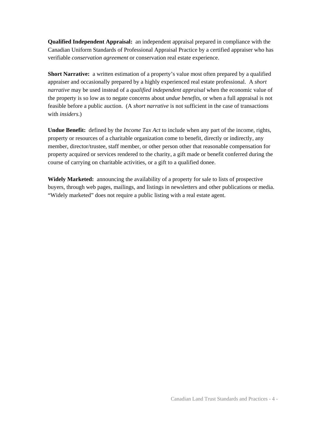**Qualified Independent Appraisal:** an independent appraisal prepared in compliance with the Canadian Uniform Standards of Professional Appraisal Practice by a certified appraiser who has verifiable *conservation agreement* or conservation real estate experience.

**Short Narrative:** a written estimation of a property's value most often prepared by a qualified appraiser and occasionally prepared by a highly experienced real estate professional. A *short narrative* may be used instead of a *qualified independent appraisal* when the economic value of the property is so low as to negate concerns about *undue benefits*, or when a full appraisal is not feasible before a public auction. (A *short narrative* is not sufficient in the case of transactions with *insiders*.)

**Undue Benefit:** defined by the *Income Tax Act* to include when any part of the income, rights, property or resources of a charitable organization come to benefit, directly or indirectly, any member, director/trustee, staff member, or other person other that reasonable compensation for property acquired or services rendered to the charity, a gift made or benefit conferred during the course of carrying on charitable activities, or a gift to a qualified donee.

**Widely Marketed:** announcing the availability of a property for sale to lists of prospective buyers, through web pages, mailings, and listings in newsletters and other publications or media. "Widely marketed" does not require a public listing with a real estate agent.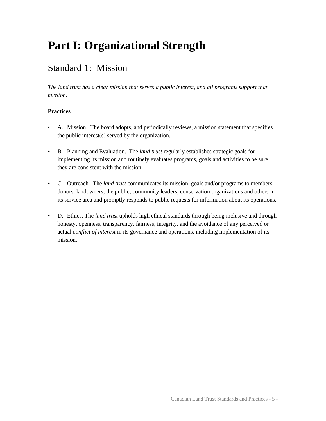# **Part I: Organizational Strength**

### Standard 1: Mission

*The land trust has a clear mission that serves a public interest, and all programs support that mission.* 

- A. Mission. The board adopts, and periodically reviews, a mission statement that specifies the public interest(s) served by the organization.
- B. Planning and Evaluation. The *land trust* regularly establishes strategic goals for implementing its mission and routinely evaluates programs, goals and activities to be sure they are consistent with the mission.
- C. Outreach. The *land trust* communicates its mission, goals and/or programs to members, donors, landowners, the public, community leaders, conservation organizations and others in its service area and promptly responds to public requests for information about its operations.
- D. Ethics. The *land trust* upholds high ethical standards through being inclusive and through honesty, openness, transparency, fairness, integrity, and the avoidance of any perceived or actual *conflict of interest* in its governance and operations, including implementation of its mission.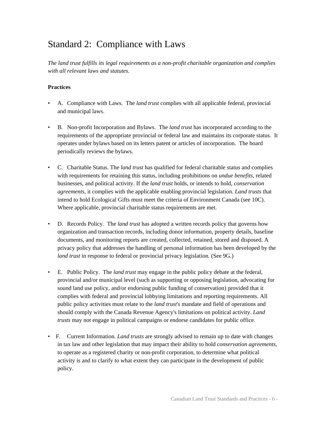### Standard 2: Compliance with Laws

*The land trust fulfills its legal requirements as a non-profit charitable organization and complies with all relevant laws and statutes.* 

- A. Compliance with Laws. The *land trust* complies with all applicable federal, provincial and municipal laws.
- B. Non-profit Incorporation and Bylaws. The *land trust* has incorporated according to the requirements of the appropriate provincial or federal law and maintains its corporate status. It operates under bylaws based on its letters patent or articles of incorporation. The board periodically reviews the bylaws.
- C. Charitable Status. The *land trust* has qualified for federal charitable status and complies with requirements for retaining this status, including prohibitions on *undue benefits*, related businesses, and political activity. If the *land trust* holds, or intends to hold, *conservation agreements*, it complies with the applicable enabling provincial legislation. *Land trusts* that intend to hold Ecological Gifts must meet the criteria of Environment Canada (see 10C). Where applicable, provincial charitable status requirements are met.
- D. Records Policy. The *land trust* has adopted a written records policy that governs how organization and transaction records, including donor information, property details, baseline documents, and monitoring reports are created, collected, retained, stored and disposed. A privacy policy that addresses the handling of personal information has been developed by the *land trust* in response to federal or provincial privacy legislation. (See 9G.)
- E. Public Policy. The *land trust* may engage in the public policy debate at the federal, provincial and/or municipal level (such as supporting or opposing legislation, advocating for sound land use policy, and/or endorsing public funding of conservation) provided that it complies with federal and provincial lobbying limitations and reporting requirements. All public policy activities must relate to the *land trust*'*s* mandate and field of operations and should comply with the Canada Revenue Agency's limitations on political activity. *Land trusts* may not engage in political campaigns or endorse candidates for public office.
- F. Current Information. *Land trusts* are strongly advised to remain up to date with changes in tax law and other legislation that may impact their ability to hold *conservation agreements*, to operate as a registered charity or non-profit corporation, to determine what political activity is and to clarify to what extent they can participate in the development of public policy.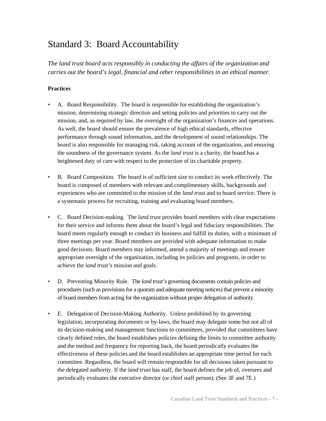### Standard 3: Board Accountability

*The land trust board acts responsibly in conducting the affairs of the organization and carries out the board's legal, financial and other responsibilities in an ethical manner.* 

- A. Board Responsibility. The board is responsible for establishing the organization's mission, determining strategic direction and setting policies and priorities to carry out the mission, and, as required by law, the oversight of the organization's finances and operations. As well, the board should ensure the prevalence of high ethical standards, effective performance through sound information, and the development of sound relationships. The board is also responsible for managing risk, taking account of the organization, and ensuring the soundness of the governance system. As the *land trust* is a charity, the board has a heightened duty of care with respect to the protection of its charitable property.
- B. Board Composition. The board is of sufficient size to conduct its work effectively. The board is composed of members with relevant and complimentary skills, backgrounds and experiences who are committed to the mission of the *land trust* and to board service. There is a systematic process for recruiting, training and evaluating board members.
- C. Board Decision-making. The *land trust* provides board members with clear expectations for their service and informs them about the board's legal and fiduciary responsibilities. The board meets regularly enough to conduct its business and fulfill its duties, with a minimum of three meetings per year. Board members are provided with adequate information to make good decisions. Board members stay informed, attend a majority of meetings and ensure appropriate oversight of the organization, including its policies and programs, in order to achieve the *land trust's* mission and goals.
- D. Preventing Minority Rule. The *land trust's* governing documents contain policies and procedures (such as provisions for a quorum and adequate meeting notices) that prevent a minority of board members from acting for the organization without proper delegation of authority.
- E. Delegation of Decision-Making Authority. Unless prohibited by its governing legislation, incorporating documents or by-laws, the board may delegate some but not all of its decision-making and management functions to committees, provided that committees have clearly defined roles, the board establishes policies defining the limits to committee authority and the method and frequency for reporting back, the board periodically evaluates the effectiveness of these policies and the board establishes an appropriate time period for each committee. Regardless, the board will remain responsible for all decisions taken pursuant to the delegated authority. If the *land trust* has staff, the board defines the job of, oversees and periodically evaluates the executive director (or chief staff person). (See 3F and 7E.)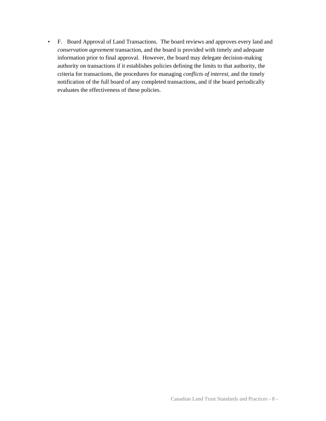• F. Board Approval of Land Transactions. The board reviews and approves every land and *conservation agreement* transaction, and the board is provided with timely and adequate information prior to final approval. However, the board may delegate decision-making authority on transactions if it establishes policies defining the limits to that authority, the criteria for transactions, the procedures for managing *conflicts of interest*, and the timely notification of the full board of any completed transactions, and if the board periodically evaluates the effectiveness of these policies.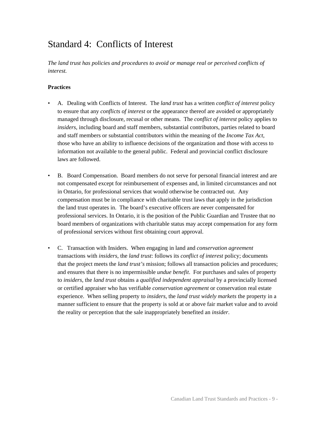### Standard 4: Conflicts of Interest

*The land trust has policies and procedures to avoid or manage real or perceived conflicts of interest.* 

- A. Dealing with Conflicts of Interest. The *land trust* has a written *conflict of interest* policy to ensure that any *conflicts of interest* or the appearance thereof are avoided or appropriately managed through disclosure, recusal or other means. The *conflict of interest* policy applies to *insiders*, including board and staff members, substantial contributors, parties related to board and staff members or substantial contributors within the meaning of the *Income Tax Act*, those who have an ability to influence decisions of the organization and those with access to information not available to the general public. Federal and provincial conflict disclosure laws are followed.
- B. Board Compensation. Board members do not serve for personal financial interest and are not compensated except for reimbursement of expenses and, in limited circumstances and not in Ontario, for professional services that would otherwise be contracted out. Any compensation must be in compliance with charitable trust laws that apply in the jurisdiction the land trust operates in. The board's executive officers are never compensated for professional services. In Ontario, it is the position of the Public Guardian and Trustee that no board members of organizations with charitable status may accept compensation for any form of professional services without first obtaining court approval.
- C. Transaction with Insiders. When engaging in land and *conservation agreement* transactions with *insiders*, the *land trust*: follows its *conflict of interest* policy; documents that the project meets the *land trust's* mission; follows all transaction policies and procedures; and ensures that there is no impermissible *undue benefit*. For purchases and sales of property to *insiders*, the *land trust* obtains a *qualified independent appraisal* by a provincially licensed or certified appraiser who has verifiable *conservation agreement* or conservation real estate experience. When selling property to *insiders*, the *land trust widely markets* the property in a manner sufficient to ensure that the property is sold at or above fair market value and to avoid the reality or perception that the sale inappropriately benefited an *insider*.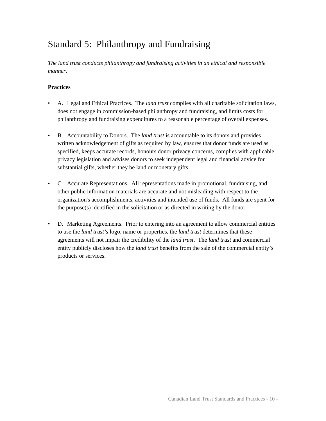### Standard 5: Philanthropy and Fundraising

*The land trust conducts philanthropy and fundraising activities in an ethical and responsible manner.* 

- A. Legal and Ethical Practices. The *land trust* complies with all charitable solicitation laws, does not engage in commission-based philanthropy and fundraising, and limits costs for philanthropy and fundraising expenditures to a reasonable percentage of overall expenses.
- B. Accountability to Donors. The *land trust* is accountable to its donors and provides written acknowledgement of gifts as required by law, ensures that donor funds are used as specified, keeps accurate records, honours donor privacy concerns, complies with applicable privacy legislation and advises donors to seek independent legal and financial advice for substantial gifts, whether they be land or monetary gifts.
- C. Accurate Representations. All representations made in promotional, fundraising, and other public information materials are accurate and not misleading with respect to the organization's accomplishments, activities and intended use of funds. All funds are spent for the purpose(s) identified in the solicitation or as directed in writing by the donor.
- D. Marketing Agreements. Prior to entering into an agreement to allow commercial entities to use the *land trust's* logo, name or properties, the *land trust* determines that these agreements will not impair the credibility of the *land trust*. The *land trust* and commercial entity publicly discloses how the *land trust* benefits from the sale of the commercial entity's products or services.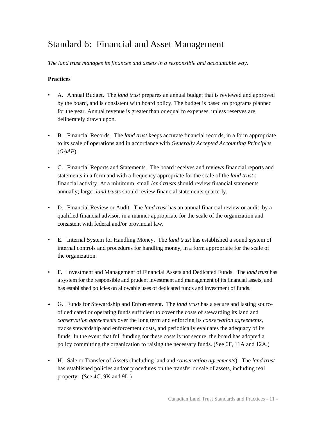### Standard 6: Financial and Asset Management

*The land trust manages its finances and assets in a responsible and accountable way.* 

- A. Annual Budget. The *land trust* prepares an annual budget that is reviewed and approved by the board, and is consistent with board policy. The budget is based on programs planned for the year. Annual revenue is greater than or equal to expenses, unless reserves are deliberately drawn upon.
- B. Financial Records. The *land trust* keeps accurate financial records, in a form appropriate to its scale of operations and in accordance with *Generally Accepted Accounting Principles* (*GAAP*).
- C. Financial Reports and Statements. The board receives and reviews financial reports and statements in a form and with a frequency appropriate for the scale of the *land trust's*  financial activity. At a minimum, small *land trusts* should review financial statements annually; larger *land trusts* should review financial statements quarterly.
- D. Financial Review or Audit. The *land trust* has an annual financial review or audit, by a qualified financial advisor, in a manner appropriate for the scale of the organization and consistent with federal and/or provincial law.
- E. Internal System for Handling Money. The *land trust* has established a sound system of internal controls and procedures for handling money, in a form appropriate for the scale of the organization.
- F. Investment and Management of Financial Assets and Dedicated Funds. The *land trust* has a system for the responsible and prudent investment and management of its financial assets, and has established policies on allowable uses of dedicated funds and investment of funds.
- G. Funds for Stewardship and Enforcement. The *land trust* has a secure and lasting source of dedicated or operating funds sufficient to cover the costs of stewarding its land and *conservation agreements* over the long term and enforcing its *conservation agreements*, tracks stewardship and enforcement costs, and periodically evaluates the adequacy of its funds. In the event that full funding for these costs is not secure, the board has adopted a policy committing the organization to raising the necessary funds. (See 6F, 11A and 12A.)
- H. Sale or Transfer of Assets (Including land and *conservation agreement*s). The *land trust* has established policies and/or procedures on the transfer or sale of assets, including real property. (See 4C, 9K and 9L.)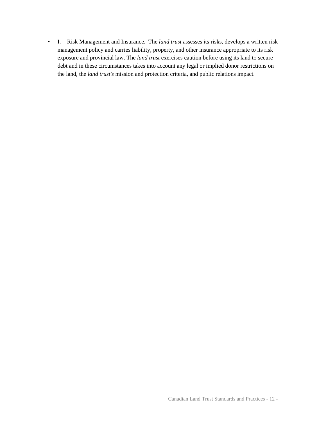• I. Risk Management and Insurance. The *land trust* assesses its risks, develops a written risk management policy and carries liability, property, and other insurance appropriate to its risk exposure and provincial law. The *land trust* exercises caution before using its land to secure debt and in these circumstances takes into account any legal or implied donor restrictions on the land, the *land trust's* mission and protection criteria, and public relations impact.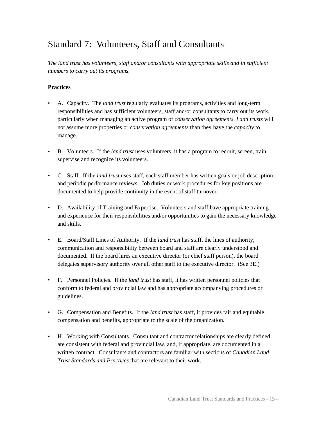### Standard 7: Volunteers, Staff and Consultants

*The land trust has volunteers, staff and/or consultants with appropriate skills and in sufficient numbers to carry out its programs.* 

- A. Capacity. The *land trust* regularly evaluates its programs, activities and long-term responsibilities and has sufficient volunteers, staff and/or consultants to carry out its work, particularly when managing an active program of *conservation agreements*. *Land trusts* will not assume more properties or *conservation agreements* than they have the *capacity* to manage.
- B. Volunteers. If the *land trust* uses volunteers, it has a program to recruit, screen, train, supervise and recognize its volunteers.
- C. Staff. If the *land trust* uses staff, each staff member has written goals or job description and periodic performance reviews. Job duties or work procedures for key positions are documented to help provide continuity in the event of staff turnover.
- D. Availability of Training and Expertise. Volunteers and staff have appropriate training and experience for their responsibilities and/or opportunities to gain the necessary knowledge and skills.
- E. Board/Staff Lines of Authority. If the *land trust* has staff, the lines of authority, communication and responsibility between board and staff are clearly understood and documented. If the board hires an executive director (or chief staff person), the board delegates supervisory authority over all other staff to the executive director. (See 3E.)
- F. Personnel Policies. If the *land trust* has staff, it has written personnel policies that conform to federal and provincial law and has appropriate accompanying procedures or guidelines.
- G. Compensation and Benefits. If the *land trust* has staff, it provides fair and equitable compensation and benefits, appropriate to the scale of the organization.
- H. Working with Consultants. Consultant and contractor relationships are clearly defined, are consistent with federal and provincial law, and, if appropriate, are documented in a written contract. Consultants and contractors are familiar with sections of *Canadian Land Trust Standards and Practices* that are relevant to their work.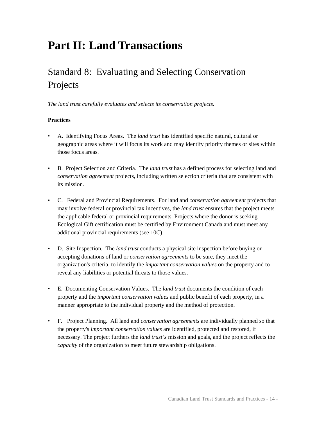# **Part II: Land Transactions**

## Standard 8: Evaluating and Selecting Conservation Projects

*The land trust carefully evaluates and selects its conservation projects.* 

- A. Identifying Focus Areas. The *land trust* has identified specific natural, cultural or geographic areas where it will focus its work and may identify priority themes or sites within those focus areas.
- B. Project Selection and Criteria. The *land trust* has a defined process for selecting land and *conservation agreement* projects, including written selection criteria that are consistent with its mission.
- C. Federal and Provincial Requirements. For land and *conservation agreement* projects that may involve federal or provincial tax incentives, the *land trust* ensures that the project meets the applicable federal or provincial requirements. Projects where the donor is seeking Ecological Gift certification must be certified by Environment Canada and must meet any additional provincial requirements (see 10C).
- D. Site Inspection. The *land trust* conducts a physical site inspection before buying or accepting donations of land or *conservation agreements* to be sure, they meet the organization's criteria, to identify the *important conservation values* on the property and to reveal any liabilities or potential threats to those values.
- E. Documenting Conservation Values. The *land trust* documents the condition of each property and the *important conservation values* and public benefit of each property, in a manner appropriate to the individual property and the method of protection.
- F. Project Planning. All land and *conservation agreements* are individually planned so that the property's *important conservation values* are identified, protected and restored, if necessary. The project furthers the *land trust's* mission and goals, and the project reflects the *capacity* of the organization to meet future stewardship obligations.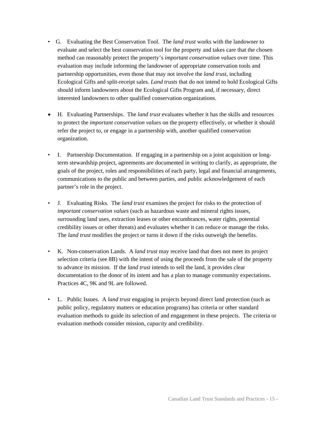- G. Evaluating the Best Conservation Tool. The *land trust* works with the landowner to evaluate and select the best conservation tool for the property and takes care that the chosen method can reasonably protect the property's *important conservation values* over time. This evaluation may include informing the landowner of appropriate conservation tools and partnership opportunities, even those that may not involve the *land trust*, including Ecological Gifts and split-receipt sales. *Land trusts* that do not intend to hold Ecological Gifts should inform landowners about the Ecological Gifts Program and, if necessary, direct interested landowners to other qualified conservation organizations.
- H. Evaluating Partnerships. The *land trust* evaluates whether it has the skills and resources to protect the *important conservation values* on the property effectively, or whether it should refer the project to, or engage in a partnership with, another qualified conservation organization.
- I. Partnership Documentation. If engaging in a partnership on a joint acquisition or longterm stewardship project, agreements are documented in writing to clarify, as appropriate, the goals of the project, roles and responsibilities of each party, legal and financial arrangements, communications to the public and between parties, and public acknowledgement of each partner's role in the project.
- J. Evaluating Risks. The *land trust* examines the project for risks to the protection of *important conservation values* (such as hazardous waste and mineral rights issues, surrounding land uses, extraction leases or other encumbrances, water rights, potential credibility issues or other threats) and evaluates whether it can reduce or manage the risks. The *land trust* modifies the project or turns it down if the risks outweigh the benefits.
- K. Non-conservation Lands. A *land trust* may receive land that does not meet its project selection criteria (see 8B) with the intent of using the proceeds from the sale of the property to advance its mission. If the *land trust* intends to sell the land, it provides clear documentation to the donor of its intent and has a plan to manage community expectations. Practices 4C, 9K and 9L are followed.
- L. Public Issues. A *land trust* engaging in projects beyond direct land protection (such as public policy, regulatory matters or education programs) has criteria or other standard evaluation methods to guide its selection of and engagement in these projects. The criteria or evaluation methods consider mission, *capacity* and credibility.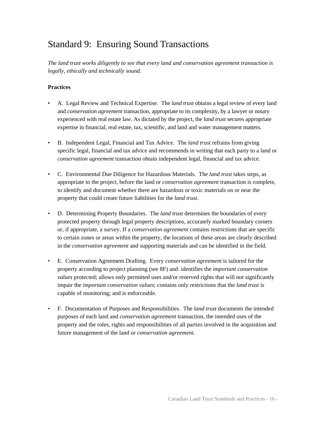### Standard 9: Ensuring Sound Transactions

*The land trust works diligently to see that every land and conservation agreement transaction is legally, ethically and technically sound.* 

- A. Legal Review and Technical Expertise. The *land trust* obtains a legal review of every land and *conservation agreement* transaction, appropriate to its complexity, by a lawyer or notary experienced with real estate law. As dictated by the project, the *land trust* secures appropriate expertise in financial, real estate, tax, scientific, and land and water management matters.
- B. Independent Legal, Financial and Tax Advice. The *land trust* refrains from giving specific legal, financial and tax advice and recommends in writing that each party to a land or *conservation agreement* transaction obtain independent legal, financial and tax advice.
- C. Environmental Due Diligence for Hazardous Materials. The *land trust* takes steps, as appropriate to the project, before the land or *conservation agreement* transaction is complete, to identify and document whether there are hazardous or toxic materials on or near the property that could create future liabilities for the *land trust*.
- D. Determining Property Boundaries. The *land trust* determines the boundaries of every protected property through legal property descriptions, accurately marked boundary corners or, if appropriate, a survey. If a *conservation agreement* contains restrictions that are specific to certain zones or areas within the property, the locations of these areas are clearly described in the *conservation agreement* and supporting materials and can be identified in the field.
- E. Conservation Agreement Drafting. Every *conservation agreement* is tailored for the property according to project planning (see 8F) and: identifies the *important conservation values* protected; allows only permitted uses and/or reserved rights that will not significantly impair the *important conservation values*; contains only restrictions that the *land trust* is capable of monitoring; and is enforceable.
- F. Documentation of Purposes and Responsibilities. The *land trust* documents the intended purposes of each land and *conservation agreement* transaction, the intended uses of the property and the roles, rights and responsibilities of all parties involved in the acquisition and future management of the land or *conservation agreement*.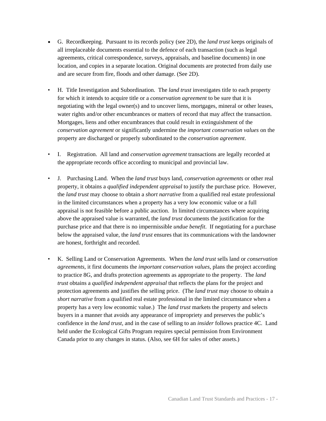- G. Recordkeeping. Pursuant to its records policy (see 2D), the *land trust* keeps originals of all irreplaceable documents essential to the defence of each transaction (such as legal agreements, critical correspondence, surveys, appraisals, and baseline documents) in one location, and copies in a separate location. Original documents are protected from daily use and are secure from fire, floods and other damage. (See 2D).
- H. Title Investigation and Subordination. The *land trust* investigates title to each property for which it intends to acquire title or a *conservation agreement* to be sure that it is negotiating with the legal owner(s) and to uncover liens, mortgages, mineral or other leases, water rights and/or other encumbrances or matters of record that may affect the transaction. Mortgages, liens and other encumbrances that could result in extinguishment of the *conservation agreement* or significantly undermine the *important conservation values* on the property are discharged or properly subordinated to the *conservation agreement*.
- I. Registration. All land and *conservation agreement* transactions are legally recorded at the appropriate records office according to municipal and provincial law.
- J. Purchasing Land. When the *land trust* buys land, *conservation agreements* or other real property, it obtains a *qualified independent appraisal* to justify the purchase price. However, the *land trust* may choose to obtain a *short narrative* from a qualified real estate professional in the limited circumstances when a property has a very low economic value or a full appraisal is not feasible before a public auction. In limited circumstances where acquiring above the appraised value is warranted, the *land trust* documents the justification for the purchase price and that there is no impermissible *undue benefit*. If negotiating for a purchase below the appraised value, the *land trust* ensures that its communications with the landowner are honest, forthright and recorded.
- K. Selling Land or Conservation Agreements. When the *land trust* sells land or *conservation agreements*, it first documents the *important conservation values*, plans the project according to practice 8G, and drafts protection agreements as appropriate to the property. The *land trust* obtains a *qualified independent appraisal* that reflects the plans for the project and protection agreements and justifies the selling price. (The *land trust* may choose to obtain a *short narrative* from a qualified real estate professional in the limited circumstance when a property has a very low economic value.) The *land trust* markets the property and selects buyers in a manner that avoids any appearance of impropriety and preserves the public's confidence in the *land trust*, and in the case of selling to an *insider* follows practice 4C. Land held under the Ecological Gifts Program requires special permission from Environment Canada prior to any changes in status. (Also, see 6H for sales of other assets.)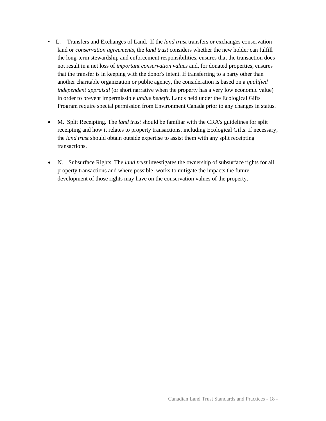- L. Transfers and Exchanges of Land. If the *land trust* transfers or exchanges conservation land or *conservation agreements*, the *land trust* considers whether the new holder can fulfill the long-term stewardship and enforcement responsibilities, ensures that the transaction does not result in a net loss of *important conservation values* and, for donated properties, ensures that the transfer is in keeping with the donor's intent. If transferring to a party other than another charitable organization or public agency, the consideration is based on a *qualified independent appraisal* (or short narrative when the property has a very low economic value) in order to prevent impermissible *undue benefit*. Lands held under the Ecological Gifts Program require special permission from Environment Canada prior to any changes in status.
- M. Split Receipting. The *land trust* should be familiar with the CRA's guidelines for split receipting and how it relates to property transactions, including Ecological Gifts. If necessary, the *land trust* should obtain outside expertise to assist them with any split receipting transactions.
- N. Subsurface Rights. The *land trust* investigates the ownership of subsurface rights for all property transactions and where possible, works to mitigate the impacts the future development of those rights may have on the conservation values of the property.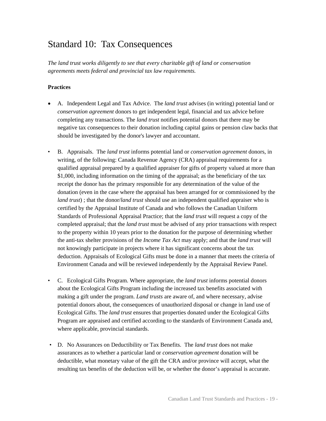### Standard 10: Tax Consequences

*The land trust works diligently to see that every charitable gift of land or conservation agreements meets federal and provincial tax law requirements.* 

- A. Independent Legal and Tax Advice. The *land trust* advises (in writing) potential land or *conservation agreement* donors to get independent legal, financial and tax advice before completing any transactions. The *land trust* notifies potential donors that there may be negative tax consequences to their donation including capital gains or pension claw backs that should be investigated by the donor's lawyer and accountant.
- B. Appraisals. The *land trust* informs potential land or *conservation agreement* donors, in writing, of the following: Canada Revenue Agency (CRA) appraisal requirements for a qualified appraisal prepared by a qualified appraiser for gifts of property valued at more than \$1,000, including information on the timing of the appraisal; as the beneficiary of the tax receipt the donor has the primary responsible for any determination of the value of the donation (even in the case where the appraisal has been arranged for or commissioned by the *land trust*) ; that the donor/*land trust* should use an independent qualified appraiser who is certified by the Appraisal Institute of Canada and who follows the Canadian Uniform Standards of Professional Appraisal Practice; that the *land trust* will request a copy of the completed appraisal; that the *land trust* must be advised of any prior transactions with respect to the property within 10 years prior to the donation for the purpose of determining whether the anti-tax shelter provisions of the *Income Tax Act* may apply; and that the *land trust* will not knowingly participate in projects where it has significant concerns about the tax deduction. Appraisals of Ecological Gifts must be done in a manner that meets the criteria of Environment Canada and will be reviewed independently by the Appraisal Review Panel.
- C. Ecological Gifts Program. Where appropriate, the *land trust* informs potential donors about the Ecological Gifts Program including the increased tax benefits associated with making a gift under the program. *Land trusts* are aware of, and where necessary, advise potential donors about, the consequences of unauthorized disposal or change in land use of Ecological Gifts. The *land trust* ensures that properties donated under the Ecological Gifts Program are appraised and certified according to the standards of Environment Canada and, where applicable, provincial standards.
- D. No Assurances on Deductibility or Tax Benefits. The *land trust* does not make assurances as to whether a particular land or *conservation agreement* donation will be deductible, what monetary value of the gift the CRA and/or province will accept, what the resulting tax benefits of the deduction will be, or whether the donor's appraisal is accurate.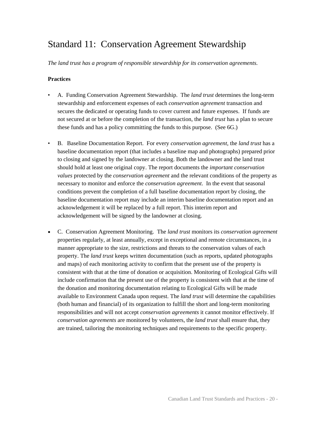### Standard 11: Conservation Agreement Stewardship

*The land trust has a program of responsible stewardship for its conservation agreements.* 

- A. Funding Conservation Agreement Stewardship. The *land trust* determines the long-term stewardship and enforcement expenses of each *conservation agreement* transaction and secures the dedicated or operating funds to cover current and future expenses. If funds are not secured at or before the completion of the transaction, the *land trust* has a plan to secure these funds and has a policy committing the funds to this purpose. (See 6G.)
- B. Baseline Documentation Report. For every *conservation agreement*, the *land trust* has a baseline documentation report (that includes a baseline map and photographs) prepared prior to closing and signed by the landowner at closing. Both the landowner and the land trust should hold at least one original copy. The report documents the *important conservation values* protected by the *conservation agreement* and the relevant conditions of the property as necessary to monitor and enforce the *conservation agreement*. In the event that seasonal conditions prevent the completion of a full baseline documentation report by closing, the baseline documentation report may include an interim baseline documentation report and an acknowledgement it will be replaced by a full report. This interim report and acknowledgement will be signed by the landowner at closing.
- C. Conservation Agreement Monitoring. The *land trust* monitors its *conservation agreement* properties regularly, at least annually, except in exceptional and remote circumstances, in a manner appropriate to the size, restrictions and threats to the conservation values of each property. The *land trust* keeps written documentation (such as reports, updated photographs and maps) of each monitoring activity to confirm that the present use of the property is consistent with that at the time of donation or acquisition. Monitoring of Ecological Gifts will include confirmation that the present use of the property is consistent with that at the time of the donation and monitoring documentation relating to Ecological Gifts will be made available to Environment Canada upon request. The *land trust* will determine the capabilities (both human and financial) of its organization to fulfill the short and long-term monitoring responsibilities and will not accept *conservation agreements* it cannot monitor effectively. If *conservation agreements* are monitored by volunteers, the *land trust* shall ensure that, they are trained, tailoring the monitoring techniques and requirements to the specific property.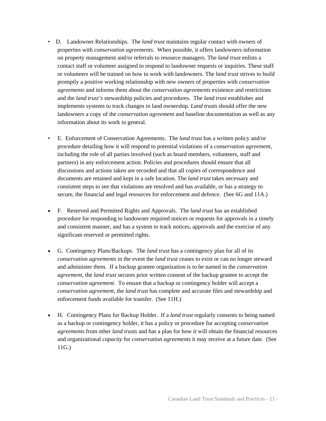- D. Landowner Relationships. The *land trust* maintains regular contact with owners of properties with *conservation agreements*. When possible, it offers landowners information on property management and/or referrals to resource managers. The *land trust* enlists a contact staff or volunteer assigned to respond to landowner requests or inquiries. These staff or volunteers will be trained on how to work with landowners. The *land trust* strives to build promptly a positive working relationship with new owners of properties with *conservation agreements* and informs them about the *conservation agreements* existence and restrictions and the *land trust's* stewardship policies and procedures. The *land trust* establishes and implements systems to track changes in land ownership. *Land trusts* should offer the new landowners a copy of the *conservation agreement* and baseline documentation as well as any information about its work in general.
- E. Enforcement of Conservation Agreements. The *land trust* has a written policy and/or procedure detailing how it will respond to potential violations of a *conservation agreement*, including the role of all parties involved (such as board members, volunteers, staff and partners) in any enforcement action. Policies and procedures should ensure that all discussions and actions taken are recorded and that all copies of correspondence and documents are retained and kept in a safe location. The *land trust* takes necessary and consistent steps to see that violations are resolved and has available, or has a strategy to secure, the financial and legal resources for enforcement and defence. (See 6G and 11A.)
- F. Reserved and Permitted Rights and Approvals. The *land trust* has an established procedure for responding to landowner required notices or requests for approvals in a timely and consistent manner, and has a system to track notices, approvals and the exercise of any significant reserved or permitted rights.
- G. Contingency Plans/Backups. The *land trust* has a contingency plan for all of its *conservation agreements* in the event the *land trust* ceases to exist or can no longer steward and administer them. If a backup grantee organization is to be named in the *conservation agreement*, the *land trust* secures prior written consent of the backup grantee to accept the *conservation agreement*. To ensure that a backup or contingency holder will accept a *conservation agreement*, the *land trust* has complete and accurate files and stewardship and enforcement funds available for transfer. (See 11H.)
- H. Contingency Plans for Backup Holder. If a *land trust* regularly consents to being named as a backup or contingency holder, it has a policy or procedure for accepting *conservation agreements* from other *land trusts* and has a plan for how it will obtain the financial resources and organizational *capacity* for *conservation agreements* it may receive at a future date. (See 11G.)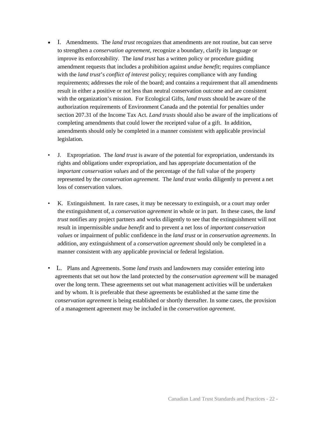- I. Amendments. The *land trust* recognizes that amendments are not routine, but can serve to strengthen a *conservation agreement*, recognize a boundary, clarify its language or improve its enforceability. The *land trust* has a written policy or procedure guiding amendment requests that includes a prohibition against *undue benefit*; requires compliance with the *land trust*'s *conflict of interest* policy; requires compliance with any funding requirements; addresses the role of the board; and contains a requirement that all amendments result in either a positive or not less than neutral conservation outcome and are consistent with the organization's mission. For Ecological Gifts, *land trusts* should be aware of the authorization requirements of Environment Canada and the potential for penalties under section 207.31 of the Income Tax Act. *Land trusts* should also be aware of the implications of completing amendments that could lower the receipted value of a gift. In addition, amendments should only be completed in a manner consistent with applicable provincial legislation.
- J. Expropriation. The *land trust* is aware of the potential for expropriation, understands its rights and obligations under expropriation, and has appropriate documentation of the *important conservation values* and of the percentage of the full value of the property represented by the *conservation agreement*. The *land trust* works diligently to prevent a net loss of conservation values.
- K. Extinguishment. In rare cases, it may be necessary to extinguish, or a court may order the extinguishment of, a *conservation agreement* in whole or in part. In these cases, the *land trust* notifies any project partners and works diligently to see that the extinguishment will not result in impermissible *undue benefit* and to prevent a net loss of *important conservation values* or impairment of public confidence in the *land trust* or in *conservation agreements*. In addition, any extinguishment of a *conservation agreement* should only be completed in a manner consistent with any applicable provincial or federal legislation.
- L. Plans and Agreements. Some *land trust*s and landowners may consider entering into agreements that set out how the land protected by the *conservation agreement* will be managed over the long term. These agreements set out what management activities will be undertaken and by whom. It is preferable that these agreements be established at the same time the *conservation agreement* is being established or shortly thereafter. In some cases, the provision of a management agreement may be included in the *conservation agreement*.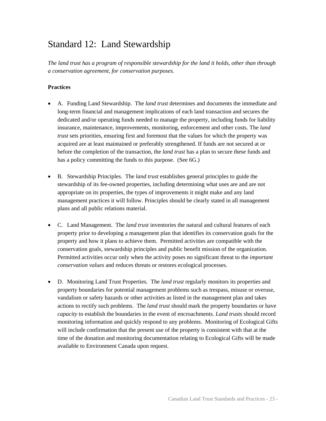### Standard 12: Land Stewardship

*The land trust has a program of responsible stewardship for the land it holds, other than through a conservation agreement, for conservation purposes.* 

- A. Funding Land Stewardship. The *land trust* determines and documents the immediate and long-term financial and management implications of each land transaction and secures the dedicated and/or operating funds needed to manage the property, including funds for liability insurance, maintenance, improvements, monitoring, enforcement and other costs. The *land trust* sets priorities, ensuring first and foremost that the values for which the property was acquired are at least maintained or preferably strengthened. If funds are not secured at or before the completion of the transaction, the *land trust* has a plan to secure these funds and has a policy committing the funds to this purpose. (See 6G.)
- B. Stewardship Principles. The *land trust* establishes general principles to guide the stewardship of its fee-owned properties, including determining what uses are and are not appropriate on its properties, the types of improvements it might make and any land management practices it will follow. Principles should be clearly stated in all management plans and all public relations material.
- C. Land Management. The *land trust* inventories the natural and cultural features of each property prior to developing a management plan that identifies its conservation goals for the property and how it plans to achieve them. Permitted activities are compatible with the conservation goals, stewardship principles and public benefit mission of the organization. Permitted activities occur only when the activity poses no significant threat to the *important conservation values* and reduces threats or restores ecological processes.
- D. Monitoring Land Trust Properties. The *land trust* regularly monitors its properties and property boundaries for potential management problems such as trespass, misuse or overuse, vandalism or safety hazards or other activities as listed in the management plan and takes actions to rectify such problems. The *land trust* should mark the property boundaries or have *capacity* to establish the boundaries in the event of encroachments. *Land trusts* should record monitoring information and quickly respond to any problems. Monitoring of Ecological Gifts will include confirmation that the present use of the property is consistent with that at the time of the donation and monitoring documentation relating to Ecological Gifts will be made available to Environment Canada upon request.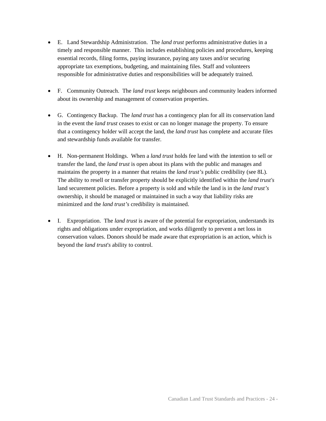- E. Land Stewardship Administration. The *land trust* performs administrative duties in a timely and responsible manner. This includes establishing policies and procedures, keeping essential records, filing forms, paying insurance, paying any taxes and/or securing appropriate tax exemptions, budgeting, and maintaining files. Staff and volunteers responsible for administrative duties and responsibilities will be adequately trained.
- F. Community Outreach. The *land trust* keeps neighbours and community leaders informed about its ownership and management of conservation properties.
- G. Contingency Backup. The *land trust* has a contingency plan for all its conservation land in the event the *land trust* ceases to exist or can no longer manage the property. To ensure that a contingency holder will accept the land, the *land trust* has complete and accurate files and stewardship funds available for transfer.
- H. Non-permanent Holdings. When a *land trust* holds fee land with the intention to sell or transfer the land, the *land trust* is open about its plans with the public and manages and maintains the property in a manner that retains the *land trust's* public credibility (see 8L). The ability to resell or transfer property should be explicitly identified within the *land trust's*  land securement policies. Before a property is sold and while the land is in the *land trust's*  ownership, it should be managed or maintained in such a way that liability risks are minimized and the *land trust's* credibility is maintained.
- I. Expropriation. The *land trust* is aware of the potential for expropriation, understands its rights and obligations under expropriation, and works diligently to prevent a net loss in conservation values. Donors should be made aware that expropriation is an action, which is beyond the *land trust*'*s* ability to control.